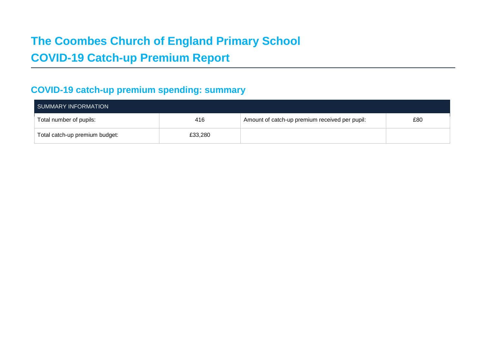# **The Coombes Church of England Primary School COVID-19 Catch-up Premium Report**

# **COVID-19 catch-up premium spending: summary**

| SUMMARY INFORMATION            |         |                                                |     |  |  |
|--------------------------------|---------|------------------------------------------------|-----|--|--|
| Total number of pupils:        | 416     | Amount of catch-up premium received per pupil: | £80 |  |  |
| Total catch-up premium budget: | £33,280 |                                                |     |  |  |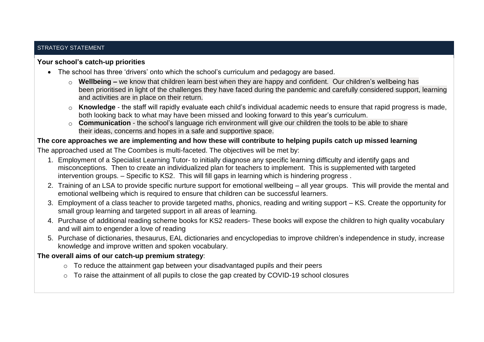## STRATEGY STATEMENT

## **Your school's catch-up priorities**

- The school has three 'drivers' onto which the school's curriculum and pedagogy are based.
	- o **Wellbeing –** we know that children learn best when they are happy and confident. Our children's wellbeing has been prioritised in light of the challenges they have faced during the pandemic and carefully considered support, learning and activities are in place on their return.
	- o **Knowledge** the staff will rapidly evaluate each child's individual academic needs to ensure that rapid progress is made, both looking back to what may have been missed and looking forward to this year's curriculum.
	- o **Communication** the school's language rich environment will give our children the tools to be able to share their ideas, concerns and hopes in a safe and supportive space.

## **The core approaches we are implementing and how these will contribute to helping pupils catch up missed learning**

The approached used at The Coombes is multi-faceted. The objectives will be met by:

- 1. Employment of a Specialist Learning Tutor- to initially diagnose any specific learning difficulty and identify gaps and misconceptions. Then to create an individualized plan for teachers to implement. This is supplemented with targeted intervention groups. – Specific to KS2. This will fill gaps in learning which is hindering progress .
- 2. Training of an LSA to provide specific nurture support for emotional wellbeing all year groups. This will provide the mental and emotional wellbeing which is required to ensure that children can be successful learners.
- 3. Employment of a class teacher to provide targeted maths, phonics, reading and writing support KS. Create the opportunity for small group learning and targeted support in all areas of learning.
- 4. Purchase of additional reading scheme books for KS2 readers- These books will expose the children to high quality vocabulary and will aim to engender a love of reading
- 5. Purchase of dictionaries, thesaurus, EAL dictionaries and encyclopedias to improve children's independence in study, increase knowledge and improve written and spoken vocabulary.

## **The overall aims of our catch-up premium strategy**:

- o To reduce the attainment gap between your disadvantaged pupils and their peers
- o To raise the attainment of all pupils to close the gap created by COVID-19 school closures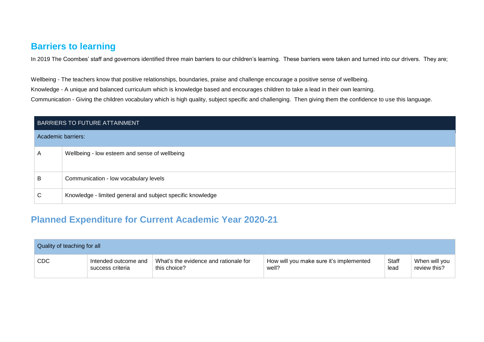# **Barriers to learning**

In 2019 The Coombes' staff and governors identified three main barriers to our children's learning. These barriers were taken and turned into our drivers. They are;

Wellbeing - The teachers know that positive relationships, boundaries, praise and challenge encourage a positive sense of wellbeing. Knowledge - A unique and balanced curriculum which is knowledge based and encourages children to take a lead in their own learning. Communication - Giving the children vocabulary which is high quality, subject specific and challenging. Then giving them the confidence to use this language.

|                    | BARRIERS TO FUTURE ATTAINMENT                              |  |  |  |  |
|--------------------|------------------------------------------------------------|--|--|--|--|
| Academic barriers: |                                                            |  |  |  |  |
| A                  | Wellbeing - low esteem and sense of wellbeing              |  |  |  |  |
| B                  | Communication - low vocabulary levels                      |  |  |  |  |
| C                  | Knowledge - limited general and subject specific knowledge |  |  |  |  |

# **Planned Expenditure for Current Academic Year 2020-21**

| Quality of teaching for all |                      |                                       |                                         |              |               |
|-----------------------------|----------------------|---------------------------------------|-----------------------------------------|--------------|---------------|
| CDC                         | Intended outcome and | What's the evidence and rationale for | How will you make sure it's implemented | <b>Staff</b> | When will you |
|                             | success criteria     | this choice?                          | well?                                   | lead         | review this?  |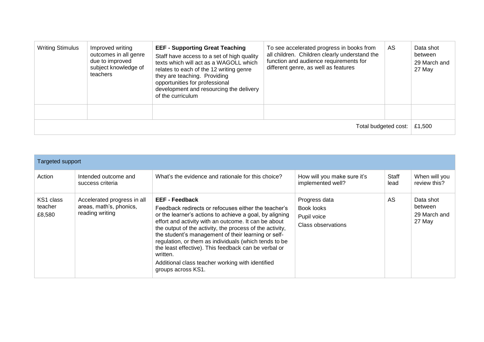| <b>Writing Stimulus</b> | Improved writing<br>outcomes in all genre<br>due to improved<br>subject knowledge of<br>teachers | <b>EEF - Supporting Great Teaching</b><br>Staff have access to a set of high quality<br>texts which will act as a WAGOLL which<br>relates to each of the 12 writing genre<br>they are teaching. Providing<br>opportunities for professional<br>development and resourcing the delivery<br>of the curriculum | To see accelerated progress in books from<br>all children. Children clearly understand the<br>function and audience requirements for<br>different genre, as well as features | AS. | Data shot<br>between<br>29 March and<br>27 May |
|-------------------------|--------------------------------------------------------------------------------------------------|-------------------------------------------------------------------------------------------------------------------------------------------------------------------------------------------------------------------------------------------------------------------------------------------------------------|------------------------------------------------------------------------------------------------------------------------------------------------------------------------------|-----|------------------------------------------------|
|                         |                                                                                                  |                                                                                                                                                                                                                                                                                                             |                                                                                                                                                                              |     |                                                |
| Total budgeted cost:    |                                                                                                  |                                                                                                                                                                                                                                                                                                             |                                                                                                                                                                              |     | £1,500                                         |

| Targeted support               |                                                                           |                                                                                                                                                                                                                                                                                                                                                                                                                                                                                                                            |                                                                         |               |                                                |  |
|--------------------------------|---------------------------------------------------------------------------|----------------------------------------------------------------------------------------------------------------------------------------------------------------------------------------------------------------------------------------------------------------------------------------------------------------------------------------------------------------------------------------------------------------------------------------------------------------------------------------------------------------------------|-------------------------------------------------------------------------|---------------|------------------------------------------------|--|
| Action                         | Intended outcome and<br>success criteria                                  | What's the evidence and rationale for this choice?                                                                                                                                                                                                                                                                                                                                                                                                                                                                         | How will you make sure it's<br>implemented well?                        | Staff<br>lead | When will you<br>review this?                  |  |
| KS1 class<br>teacher<br>£8,580 | Accelerated progress in all<br>areas, math's, phonics,<br>reading writing | <b>EEF - Feedback</b><br>Feedback redirects or refocuses either the teacher's<br>or the learner's actions to achieve a goal, by aligning<br>effort and activity with an outcome. It can be about<br>the output of the activity, the process of the activity,<br>the student's management of their learning or self-<br>regulation, or them as individuals (which tends to be<br>the least effective). This feedback can be verbal or<br>written.<br>Additional class teacher working with identified<br>groups across KS1. | Progress data<br>Book looks<br>Pupil voice<br><b>Class observations</b> | AS            | Data shot<br>between<br>29 March and<br>27 May |  |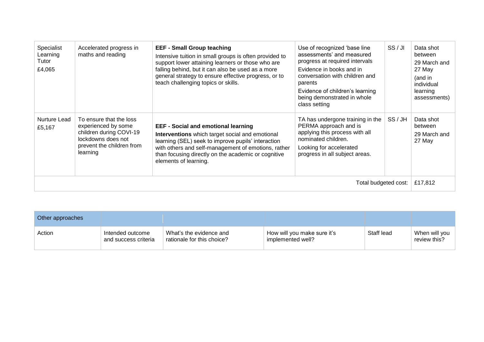| Specialist<br>Learning<br>Tutor<br>£4,065 | Accelerated progress in<br>maths and reading                                                                                             | <b>EEF - Small Group teaching</b><br>Intensive tuition in small groups is often provided to<br>support lower attaining learners or those who are<br>falling behind, but it can also be used as a more<br>general strategy to ensure effective progress, or to<br>teach challenging topics or skills. | Use of recognized 'base line<br>assessments' and measured<br>progress at required intervals<br>Evidence in books and in<br>conversation with children and<br>parents<br>Evidence of children's learning<br>being demonstrated in whole<br>class setting | SS/JI | Data shot<br>between<br>29 March and<br>27 May<br>(and in<br>individual<br>learning<br>assessments) |
|-------------------------------------------|------------------------------------------------------------------------------------------------------------------------------------------|------------------------------------------------------------------------------------------------------------------------------------------------------------------------------------------------------------------------------------------------------------------------------------------------------|---------------------------------------------------------------------------------------------------------------------------------------------------------------------------------------------------------------------------------------------------------|-------|-----------------------------------------------------------------------------------------------------|
| Nurture Lead<br>£5,167                    | To ensure that the loss<br>experienced by some<br>children during COVI-19<br>lockdowns does not<br>prevent the children from<br>learning | <b>EEF - Social and emotional learning</b><br>Interventions which target social and emotional<br>learning (SEL) seek to improve pupils' interaction<br>with others and self-management of emotions, rather<br>than focusing directly on the academic or cognitive<br>elements of learning.           | TA has undergone training in the<br>PERMA approach and is<br>applying this process with all<br>nominated children.<br>Looking for accelerated<br>progress in all subject areas.                                                                         | SS/JH | Data shot<br>between<br>29 March and<br>27 May                                                      |
| Total budgeted cost:                      |                                                                                                                                          |                                                                                                                                                                                                                                                                                                      |                                                                                                                                                                                                                                                         |       |                                                                                                     |

| Other approaches |                                          |                                                       |                                                  |            |                               |
|------------------|------------------------------------------|-------------------------------------------------------|--------------------------------------------------|------------|-------------------------------|
| Action           | Intended outcome<br>and success criteria | What's the evidence and<br>rationale for this choice? | How will you make sure it's<br>implemented well? | Staff lead | When will you<br>review this? |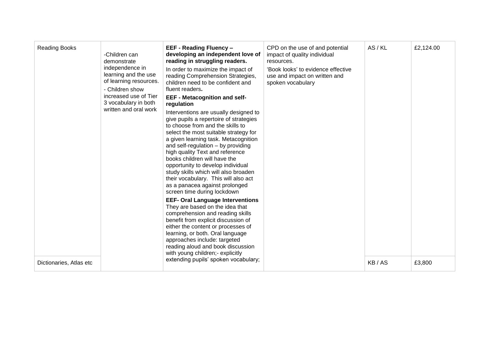| <b>Reading Books</b>    | -Children can<br>demonstrate<br>independence in<br>learning and the use<br>of learning resources.<br>- Children show<br>increased use of Tier<br>3 vocabulary in both<br>written and oral work | <b>EEF - Reading Fluency -</b><br>developing an independent love of<br>reading in struggling readers.<br>In order to maximize the impact of<br>reading Comprehension Strategies,<br>children need to be confident and<br>fluent readers.<br><b>EEF - Metacognition and self-</b><br>regulation<br>Interventions are usually designed to<br>give pupils a repertoire of strategies<br>to choose from and the skills to<br>select the most suitable strategy for<br>a given learning task. Metacognition<br>and self-regulation - by providing<br>high quality Text and reference<br>books children will have the<br>opportunity to develop individual<br>study skills which will also broaden<br>their vocabulary. This will also act<br>as a panacea against prolonged<br>screen time during lockdown<br><b>EEF- Oral Language Interventions</b><br>They are based on the idea that<br>comprehension and reading skills<br>benefit from explicit discussion of<br>either the content or processes of<br>learning, or both. Oral language<br>approaches include: targeted<br>reading aloud and book discussion<br>with young children;- explicitly<br>extending pupils' spoken vocabulary; | CPD on the use of and potential<br>impact of quality individual<br>resources.<br>'Book looks' to evidence effective<br>use and impact on written and<br>spoken vocabulary | AS/KL | £2,124.00 |
|-------------------------|------------------------------------------------------------------------------------------------------------------------------------------------------------------------------------------------|-------------------------------------------------------------------------------------------------------------------------------------------------------------------------------------------------------------------------------------------------------------------------------------------------------------------------------------------------------------------------------------------------------------------------------------------------------------------------------------------------------------------------------------------------------------------------------------------------------------------------------------------------------------------------------------------------------------------------------------------------------------------------------------------------------------------------------------------------------------------------------------------------------------------------------------------------------------------------------------------------------------------------------------------------------------------------------------------------------------------------------------------------------------------------------------------|---------------------------------------------------------------------------------------------------------------------------------------------------------------------------|-------|-----------|
| Dictionaries, Atlas etc |                                                                                                                                                                                                |                                                                                                                                                                                                                                                                                                                                                                                                                                                                                                                                                                                                                                                                                                                                                                                                                                                                                                                                                                                                                                                                                                                                                                                           |                                                                                                                                                                           | KB/AS | £3,800    |